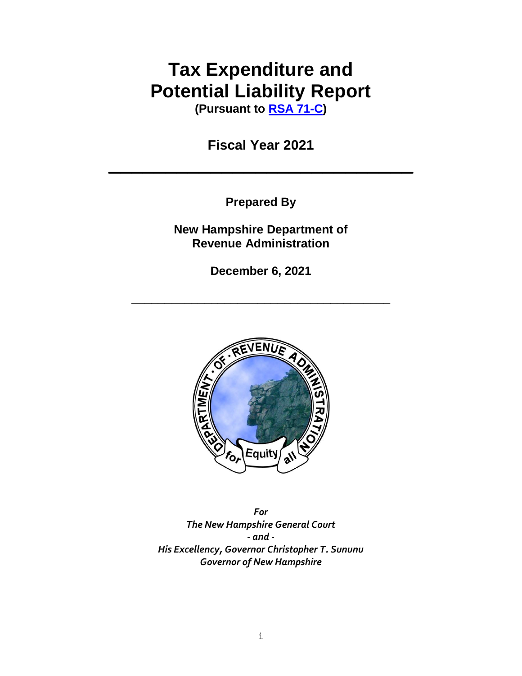# **Tax Expenditure and Potential Liability Report**

**(Pursuant to [RSA 71-C\)](http://www.gencourt.state.nh.us/rsa/html/v/71-c/71-c-mrg.htm)**

**Fiscal Year 2021**

**Prepared By**

**New Hampshire Department of Revenue Administration**

**December 6, 2021**

**\_\_\_\_\_\_\_\_\_\_\_\_\_\_\_\_\_\_\_\_\_\_\_\_\_\_\_\_\_\_\_\_\_\_\_\_\_\_\_**



*For The New Hampshire General Court - and - His Excellency, Governor Christopher T. Sununu Governor of New Hampshire*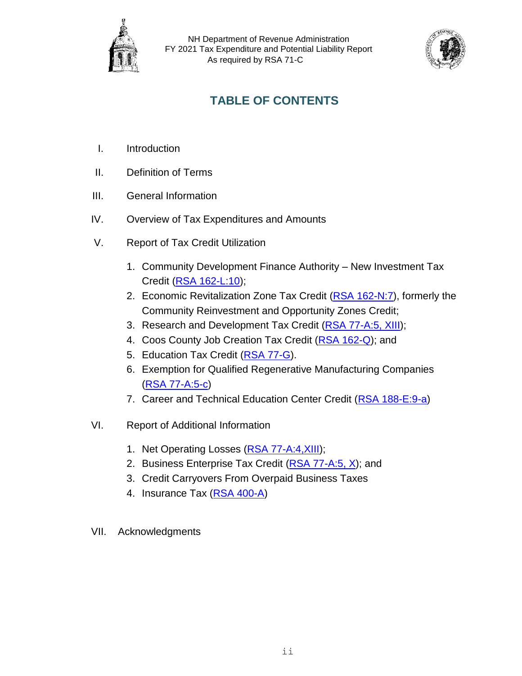



# **TABLE OF CONTENTS**

- I. Introduction
- II. Definition of Terms
- III. General Information
- IV. Overview of Tax Expenditures and Amounts
- V. Report of Tax Credit Utilization
	- 1. Community Development Finance Authority New Investment Tax Credit [\(RSA 162-L:10\)](http://www.gencourt.state.nh.us/rsa/html/xii/162-l/162-l-10.htm);
	- 2. Economic Revitalization Zone Tax Credit [\(RSA 162-N:7\)](http://www.gencourt.state.nh.us/rsa/html/xii/162-n/162-n-7.htm), formerly the Community Reinvestment and Opportunity Zones Credit;
	- 3. Research and Development Tax Credit [\(RSA 77-A:5, XIII\)](http://www.gencourt.state.nh.us/rsa/html/V/77-A/77-A-5.htm);
	- 4. Coos County Job Creation Tax Credit [\(RSA 162-Q\)](file:///C:/Users/carollynn.j.ward/AppData/Local/Microsoft/Windows/Temporary%20Internet%20Files/Content.Outlook/ZOF3MAWY/RSA%20162-Q); and
	- 5. Education Tax Credit [\(RSA 77-G\)](http://www.gencourt.state.nh.us/rsa/html/NHTOC/NHTOC-V-77-G.htm).
	- 6. Exemption for Qualified Regenerative Manufacturing Companies [\(RSA 77-A:5-c\)](http://www.gencourt.state.nh.us/rsa/html/V/77-A/77-A-5-c.htm)
	- 7. Career and Technical Education Center Credit [\(RSA 188-E:9-a\)](http://www.gencourt.state.nh.us/rsa/html/XV/188-E/188-E-9-a.htm)
- VI. Report of Additional Information
	- 1. Net Operating Losses (RSA 77-A:4, XIII);
	- 2. Business Enterprise Tax Credit [\(RSA 77-A:5, X\)](http://www.gencourt.state.nh.us/rsa/html/V/77-A/77-A-5.htm); and
	- 3. Credit Carryovers From Overpaid Business Taxes
	- 4. Insurance Tax [\(RSA 400-A\)](http://www.gencourt.state.nh.us/rsa/html/xxxvii/400-a/400-a-mrg.htm)
- VII. Acknowledgments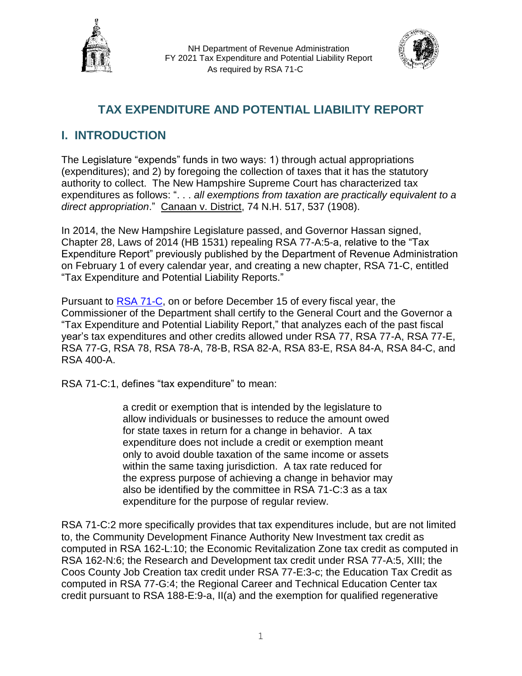



# **TAX EXPENDITURE AND POTENTIAL LIABILITY REPORT**

# **I. INTRODUCTION**

The Legislature "expends" funds in two ways: 1) through actual appropriations (expenditures); and 2) by foregoing the collection of taxes that it has the statutory authority to collect. The New Hampshire Supreme Court has characterized tax expenditures as follows: ". . . *all exemptions from taxation are practically equivalent to a direct appropriation*." Canaan v. District, 74 N.H. 517, 537 (1908).

In 2014, the New Hampshire Legislature passed, and Governor Hassan signed, Chapter 28, Laws of 2014 (HB 1531) repealing RSA 77-A:5-a, relative to the "Tax Expenditure Report" previously published by the Department of Revenue Administration on February 1 of every calendar year, and creating a new chapter, RSA 71-C, entitled "Tax Expenditure and Potential Liability Reports."

Pursuant to [RSA 71-C,](http://www.gencourt.state.nh.us/rsa/html/v/71-c/71-c-mrg.htm) on or before December 15 of every fiscal year, the Commissioner of the Department shall certify to the General Court and the Governor a "Tax Expenditure and Potential Liability Report," that analyzes each of the past fiscal year's tax expenditures and other credits allowed under RSA 77, RSA 77-A, RSA 77-E, RSA 77-G, RSA 78, RSA 78-A, 78-B, RSA 82-A, RSA 83-E, RSA 84-A, RSA 84-C, and RSA 400-A.

RSA 71-C:1, defines "tax expenditure" to mean:

a credit or exemption that is intended by the legislature to allow individuals or businesses to reduce the amount owed for state taxes in return for a change in behavior. A tax expenditure does not include a credit or exemption meant only to avoid double taxation of the same income or assets within the same taxing jurisdiction. A tax rate reduced for the express purpose of achieving a change in behavior may also be identified by the committee in RSA 71-C:3 as a tax expenditure for the purpose of regular review.

RSA 71-C:2 more specifically provides that tax expenditures include, but are not limited to, the Community Development Finance Authority New Investment tax credit as computed in RSA 162-L:10; the Economic Revitalization Zone tax credit as computed in RSA 162-N:6; the Research and Development tax credit under RSA 77-A:5, XIII; the Coos County Job Creation tax credit under RSA 77-E:3-c; the Education Tax Credit as computed in RSA 77-G:4; the Regional Career and Technical Education Center tax credit pursuant to RSA 188-E:9-a, II(a) and the exemption for qualified regenerative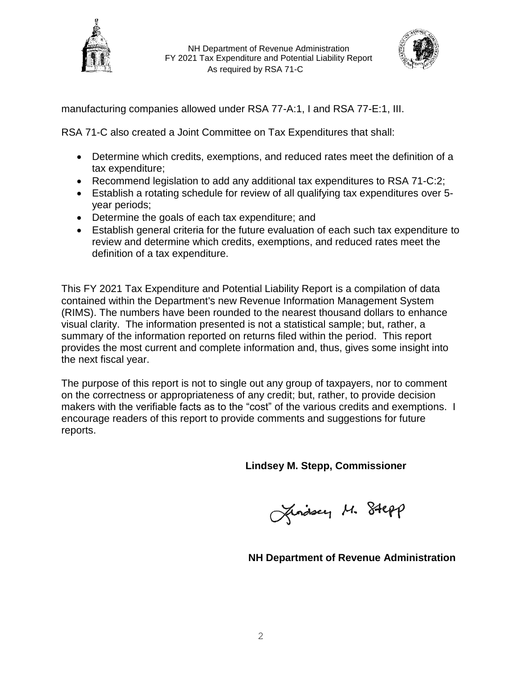



manufacturing companies allowed under RSA 77-A:1, I and RSA 77-E:1, III.

RSA 71-C also created a Joint Committee on Tax Expenditures that shall:

- Determine which credits, exemptions, and reduced rates meet the definition of a tax expenditure;
- Recommend legislation to add any additional tax expenditures to RSA 71-C:2;
- Establish a rotating schedule for review of all qualifying tax expenditures over 5 year periods;
- Determine the goals of each tax expenditure; and
- Establish general criteria for the future evaluation of each such tax expenditure to review and determine which credits, exemptions, and reduced rates meet the definition of a tax expenditure.

This FY 2021 Tax Expenditure and Potential Liability Report is a compilation of data contained within the Department's new Revenue Information Management System (RIMS). The numbers have been rounded to the nearest thousand dollars to enhance visual clarity. The information presented is not a statistical sample; but, rather, a summary of the information reported on returns filed within the period. This report provides the most current and complete information and, thus, gives some insight into the next fiscal year.

The purpose of this report is not to single out any group of taxpayers, nor to comment on the correctness or appropriateness of any credit; but, rather, to provide decision makers with the verifiable facts as to the "cost" of the various credits and exemptions. I encourage readers of this report to provide comments and suggestions for future reports.

**Lindsey M. Stepp, Commissioner**

Jinasey M. Stepp

 **NH Department of Revenue Administration**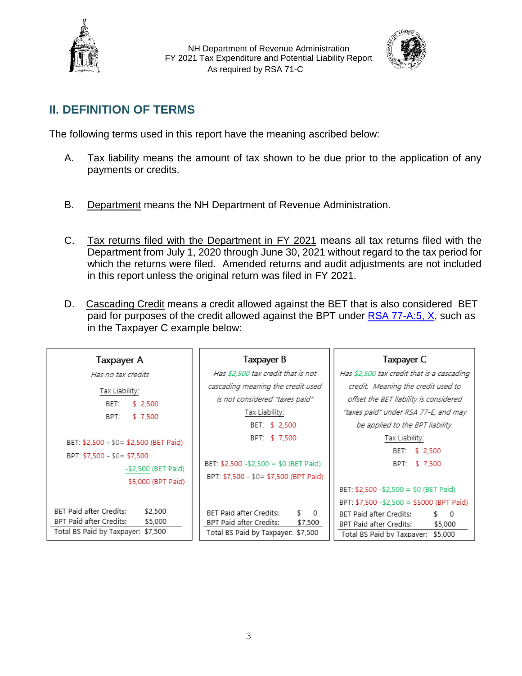



# **II. DEFINITION OF TERMS**

The following terms used in this report have the meaning ascribed below:

- A. Tax liability means the amount of tax shown to be due prior to the application of any payments or credits.
- B. Department means the NH Department of Revenue Administration.
- C. Tax returns filed with the Department in FY 2021 means all tax returns filed with the Department from July 1, 2020 through June 30, 2021 without regard to the tax period for which the returns were filed. Amended returns and audit adjustments are not included in this report unless the original return was filed in FY 2021.
- D. Cascading Credit means a credit allowed against the BET that is also considered BET paid for purposes of the credit allowed against the BPT under [RSA 77-A:5, X,](http://www.gencourt.state.nh.us/rsa/html/V/77-A/77-A-5.htm) such as in the Taxpayer C example below:

| Taxpayer A                             | Taxpayer B                                                               | Taxpayer C                                 |  |
|----------------------------------------|--------------------------------------------------------------------------|--------------------------------------------|--|
| Has no tax credits                     | Has \$2,500 tax credit that is not                                       | Has \$2,500 tax credit that is a cascading |  |
| Tax Liability:                         | cascading meaning the credit used                                        | credit. Meaning the credit used to         |  |
| BET:<br>\$2.500                        | is not considered "taxes paid"                                           | offset the BET liability is considered     |  |
| \$7.500<br>BPT:                        | Tax Liability:                                                           | "taxes paid" under RSA 77-E, and may       |  |
|                                        | BET: \$ 2,500                                                            | be applied to the BPT liability.           |  |
| BET: \$2,500 - \$0= \$2,500 (BET Paid) | BPT: \$7,500                                                             | Tax Liability:                             |  |
| BPT: \$7,500 - \$0= \$7,500            |                                                                          | BET: \$ 2,500                              |  |
| -\$2,500 (BET Paid)                    | BET: \$2,500 -\$2,500 = \$0 (BET Paid)                                   | BPT: \$7.500                               |  |
| \$5,000 (BPT Paid)                     | BPT: \$7,500 - \$0= \$7,500 (BPT Paid)                                   |                                            |  |
|                                        |                                                                          | BET: \$2,500 -\$2,500 = \$0 (BET Paid)     |  |
|                                        |                                                                          | BPT: \$7,500 -\$2,500 = \$5000 (BPT Paid)  |  |
| BET Paid after Credits:<br>\$2,500     | BET Paid after Credits:<br>\$ 0                                          | BET Paid after Credits:<br>\$ 0            |  |
| BPT Paid after Credits:<br>\$5,000     | BPT Paid after Credits:<br>\$7,500                                       | BPT Paid after Credits:<br>\$5,000         |  |
| Total BS Paid by Taxpayer: \$7,500     | Total BS Paid by Taxpayer: \$7,500<br>Total BS Paid by Taxpayer: \$5,000 |                                            |  |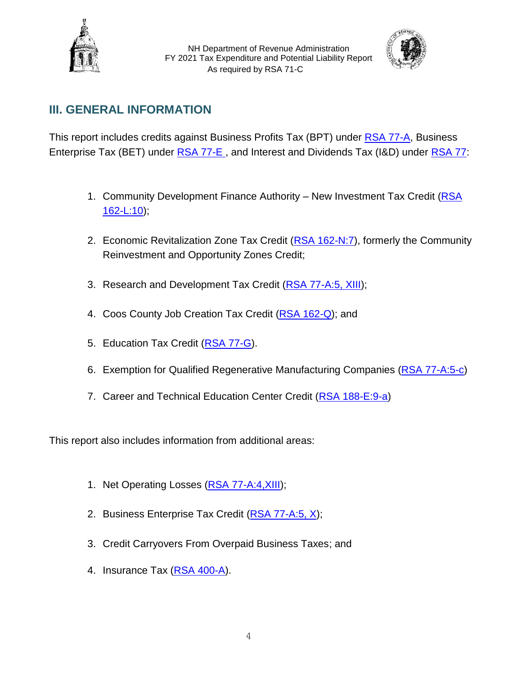



# **III. GENERAL INFORMATION**

This report includes credits against Business Profits Tax (BPT) under [RSA 77-A,](http://www.gencourt.state.nh.us/rsa/html/V/77-A/77-A-mrg.htm) Business Enterprise Tax (BET) under [RSA 77-E](http://www.gencourt.state.nh.us/rsa/html/V/77-E/77-E-mrg.htm) , and Interest and Dividends Tax (I&D) under [RSA 77:](http://www.gencourt.state.nh.us/rsa/html/NHTOC/NHTOC-V-77.htm)

- 1. Community Development Finance Authority New Investment Tax Credit (RSA [162-L:10\)](http://www.gencourt.state.nh.us/rsa/html/xii/162-l/162-l-10.htm);
- 2. Economic Revitalization Zone Tax Credit [\(RSA 162-N:7\)](http://www.gencourt.state.nh.us/rsa/html/xii/162-n/162-n-7.htm), formerly the Community Reinvestment and Opportunity Zones Credit;
- 3. Research and Development Tax Credit [\(RSA 77-A:5, XIII\)](http://www.gencourt.state.nh.us/rsa/html/V/77-A/77-A-5.htm);
- 4. Coos County Job Creation Tax Credit [\(RSA 162-Q\)](http://www.gencourt.state.nh.us/rsa/html/xii/162-q/162-q-mrg.htm); and
- 5. Education Tax Credit [\(RSA 77-G\)](http://www.gencourt.state.nh.us/rsa/html/NHTOC/NHTOC-V-77-G.htm).
- 6. Exemption for Qualified Regenerative Manufacturing Companies [\(RSA 77-A:5-c\)](http://www.gencourt.state.nh.us/rsa/html/V/77-A/77-A-5-c.htm)
- 7. Career and Technical Education Center Credit [\(RSA 188-E:9-a\)](http://www.gencourt.state.nh.us/rsa/html/XV/188-E/188-E-9-a.htm)

This report also includes information from additional areas:

- 1. Net Operating Losses (RSA 77-A:4, XIII);
- 2. Business Enterprise Tax Credit [\(RSA 77-A:5, X\)](http://www.gencourt.state.nh.us/rsa/html/V/77-A/77-A-5.htm);
- 3. Credit Carryovers From Overpaid Business Taxes; and
- 4. Insurance Tax [\(RSA 400-A\)](http://www.gencourt.state.nh.us/rsa/html/xxxvii/400-a/400-a-mrg.htm).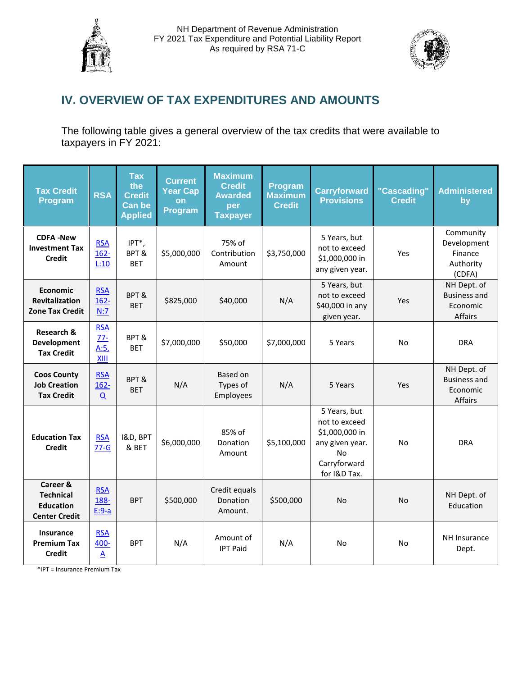



# **IV. OVERVIEW OF TAX EXPENDITURES AND AMOUNTS**

The following table gives a general overview of the tax credits that were available to taxpayers in FY 2021:

| <b>Tax Credit</b><br>Program                                             | <b>RSA</b>                                     | <b>Tax</b><br>the<br><b>Credit</b><br><b>Can be</b><br><b>Applied</b> | <b>Current</b><br><b>Year Cap</b><br>on<br>Program | <b>Maximum</b><br><b>Credit</b><br><b>Awarded</b><br>per<br><b>Taxpayer</b> | Program<br><b>Maximum</b><br><b>Credit</b> | <b>Carryforward</b><br><b>Provisions</b>                                                                        | "Cascading"<br><b>Credit</b> | <b>Administered</b><br>by                                  |
|--------------------------------------------------------------------------|------------------------------------------------|-----------------------------------------------------------------------|----------------------------------------------------|-----------------------------------------------------------------------------|--------------------------------------------|-----------------------------------------------------------------------------------------------------------------|------------------------------|------------------------------------------------------------|
| <b>CDFA-New</b><br><b>Investment Tax</b><br><b>Credit</b>                | <b>RSA</b><br>$162 -$<br>L:10                  | IPT*,<br>BPT&<br><b>BET</b>                                           | \$5,000,000                                        | 75% of<br>Contribution<br>Amount                                            | \$3,750,000                                | 5 Years, but<br>not to exceed<br>\$1,000,000 in<br>any given year.                                              | Yes                          | Community<br>Development<br>Finance<br>Authority<br>(CDFA) |
| <b>Economic</b><br><b>Revitalization</b><br><b>Zone Tax Credit</b>       | <b>RSA</b><br>$162 -$<br>N:7                   | BPT&<br><b>BET</b>                                                    | \$825,000                                          | \$40,000                                                                    | N/A                                        | 5 Years, but<br>not to exceed<br>\$40,000 in any<br>given year.                                                 | Yes                          | NH Dept. of<br><b>Business and</b><br>Economic<br>Affairs  |
| Research &<br><b>Development</b><br><b>Tax Credit</b>                    | <b>RSA</b><br>$77 -$<br>A:5<br>XIII            | BPT&<br><b>BET</b>                                                    | \$7,000,000                                        | \$50,000                                                                    | \$7,000,000                                | 5 Years                                                                                                         | No                           | <b>DRA</b>                                                 |
| <b>Coos County</b><br><b>Job Creation</b><br><b>Tax Credit</b>           | <b>RSA</b><br>$162 -$<br>$\Omega$              | BPT&<br><b>BET</b>                                                    | N/A                                                | Based on<br>Types of<br>Employees                                           | N/A                                        | 5 Years                                                                                                         | Yes                          | NH Dept. of<br><b>Business and</b><br>Economic<br>Affairs  |
| <b>Education Tax</b><br><b>Credit</b>                                    | <b>RSA</b><br>$77-G$                           | I&D, BPT<br>& BET                                                     | \$6,000,000                                        | 85% of<br>Donation<br>Amount                                                | \$5,100,000                                | 5 Years, but<br>not to exceed<br>\$1,000,000 in<br>any given year.<br><b>No</b><br>Carryforward<br>for I&D Tax. | N <sub>o</sub>               | <b>DRA</b>                                                 |
| Career &<br><b>Technical</b><br><b>Education</b><br><b>Center Credit</b> | <b>RSA</b><br>188-<br>$E:9-a$                  | <b>BPT</b>                                                            | \$500,000                                          | Credit equals<br>Donation<br>Amount.                                        | \$500,000                                  | <b>No</b>                                                                                                       | <b>No</b>                    | NH Dept. of<br>Education                                   |
| Insurance<br><b>Premium Tax</b><br><b>Credit</b>                         | <b>RSA</b><br>400-<br>$\underline{\mathsf{A}}$ | <b>BPT</b>                                                            | N/A                                                | Amount of<br><b>IPT Paid</b>                                                | N/A                                        | <b>No</b>                                                                                                       | N <sub>o</sub>               | NH Insurance<br>Dept.                                      |

\*IPT = Insurance Premium Tax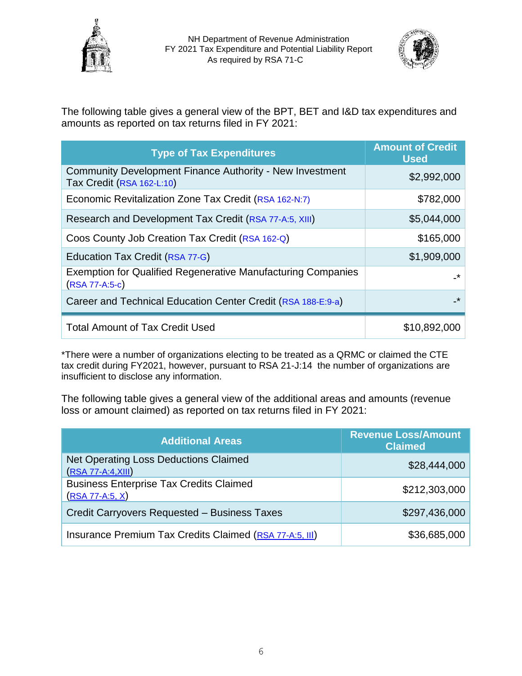



The following table gives a general view of the BPT, BET and I&D tax expenditures and amounts as reported on tax returns filed in FY 2021:

| <b>Type of Tax Expenditures</b>                                                         | <b>Amount of Credit</b><br><b>Used</b> |
|-----------------------------------------------------------------------------------------|----------------------------------------|
| Community Development Finance Authority - New Investment<br>Tax Credit (RSA 162-L:10)   | \$2,992,000                            |
| Economic Revitalization Zone Tax Credit (RSA 162-N:7)                                   | \$782,000                              |
| Research and Development Tax Credit (RSA 77-A:5, XIII)                                  | \$5,044,000                            |
| Coos County Job Creation Tax Credit (RSA 162-Q)                                         | \$165,000                              |
| Education Tax Credit (RSA 77-G)                                                         | \$1,909,000                            |
| <b>Exemption for Qualified Regenerative Manufacturing Companies</b><br>$(RSA 77-A:5-c)$ | _*                                     |
| Career and Technical Education Center Credit (RSA 188-E:9-a)                            | $\star$                                |
| <b>Total Amount of Tax Credit Used</b>                                                  | \$10,892,000                           |

\*There were a number of organizations electing to be treated as a QRMC or claimed the CTE tax credit during FY2021, however, pursuant to RSA 21-J:14 the number of organizations are insufficient to disclose any information.

The following table gives a general view of the additional areas and amounts (revenue loss or amount claimed) as reported on tax returns filed in FY 2021:

| <b>Additional Areas</b>                                              | <b>Revenue Loss/Amount</b><br><b>Claimed</b> |
|----------------------------------------------------------------------|----------------------------------------------|
| <b>Net Operating Loss Deductions Claimed</b><br>$(RSA 77-A:4, XIII)$ | \$28,444,000                                 |
| <b>Business Enterprise Tax Credits Claimed</b><br>$(RSA 77-A:5, X)$  | \$212,303,000                                |
| Credit Carryovers Requested - Business Taxes                         | \$297,436,000                                |
| Insurance Premium Tax Credits Claimed (RSA 77-A:5, III)              | \$36,685,000                                 |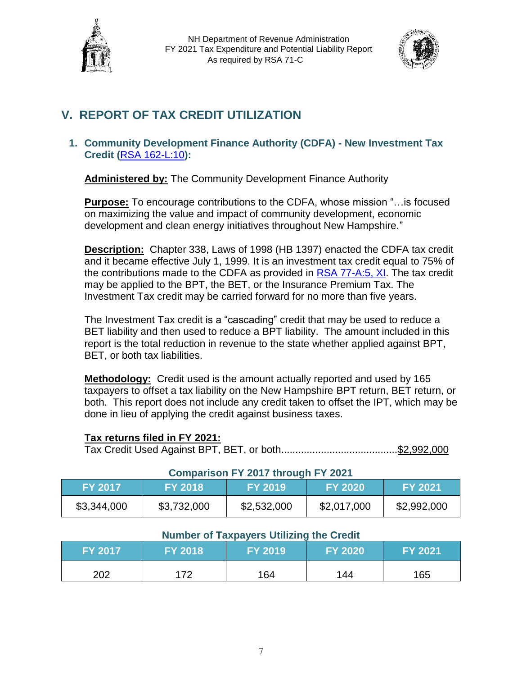



# **V. REPORT OF TAX CREDIT UTILIZATION**

# **1. Community Development Finance Authority (CDFA) - New Investment Tax Credit (**[RSA 162-L:10](http://www.gencourt.state.nh.us/rsa/html/xii/162-l/162-l-10.htm)**):**

**Administered by:** The Community Development Finance Authority

**Purpose:** To encourage contributions to the CDFA, whose mission "…is focused on maximizing the value and impact of community development, economic development and clean energy initiatives throughout New Hampshire."

**Description:** Chapter 338, Laws of 1998 (HB 1397) enacted the CDFA tax credit and it became effective July 1, 1999. It is an investment tax credit equal to 75% of the contributions made to the CDFA as provided in [RSA 77-A:5, XI.](http://www.gencourt.state.nh.us/rsa/html/V/77-A/77-A-5.htm) The tax credit may be applied to the BPT, the BET, or the Insurance Premium Tax. The Investment Tax credit may be carried forward for no more than five years.

The Investment Tax credit is a "cascading" credit that may be used to reduce a BET liability and then used to reduce a BPT liability. The amount included in this report is the total reduction in revenue to the state whether applied against BPT, BET, or both tax liabilities.

**Methodology:** Credit used is the amount actually reported and used by 165 taxpayers to offset a tax liability on the New Hampshire BPT return, BET return, or both. This report does not include any credit taken to offset the IPT, which may be done in lieu of applying the credit against business taxes.

# **Tax returns filed in FY 2021:**

Tax Credit Used Against BPT, BET, or both.........................................\$2,992,000

| Comparison FY 2017 through FY 2021                                                     |             |             |             |             |  |
|----------------------------------------------------------------------------------------|-------------|-------------|-------------|-------------|--|
| <b>FY 2021</b><br><b>FY 2017</b><br><b>FY 2018</b><br><b>FY 2020</b><br><b>FY 2019</b> |             |             |             |             |  |
| \$3,344,000                                                                            | \$3,732,000 | \$2,532,000 | \$2,017,000 | \$2,992,000 |  |

# **Comparison FY 2017 through FY 2021**

| <b>FY 2017</b> | <b>FY 2018</b> | <b>FY 2019</b> | <b>FY 2020</b> | FY 2021 |
|----------------|----------------|----------------|----------------|---------|
| 202            | 17つ            | 164            | 144            | 165     |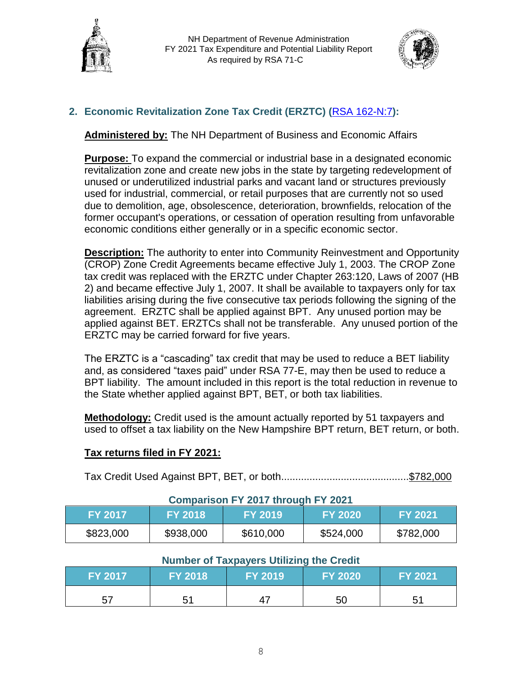



# **2. Economic Revitalization Zone Tax Credit (ERZTC) (**[RSA 162-N:7](http://www.gencourt.state.nh.us/rsa/html/xii/162-n/162-n-7.htm)**):**

**Administered by:** The NH Department of Business and Economic Affairs

**Purpose:** To expand the commercial or industrial base in a designated economic revitalization zone and create new jobs in the state by targeting redevelopment of unused or underutilized industrial parks and vacant land or structures previously used for industrial, commercial, or retail purposes that are currently not so used due to demolition, age, obsolescence, deterioration, brownfields, relocation of the former occupant's operations, or cessation of operation resulting from unfavorable economic conditions either generally or in a specific economic sector.

**Description:** The authority to enter into Community Reinvestment and Opportunity (CROP) Zone Credit Agreements became effective July 1, 2003. The CROP Zone tax credit was replaced with the ERZTC under Chapter 263:120, Laws of 2007 (HB 2) and became effective July 1, 2007. It shall be available to taxpayers only for tax liabilities arising during the five consecutive tax periods following the signing of the agreement. ERZTC shall be applied against BPT. Any unused portion may be applied against BET. ERZTCs shall not be transferable. Any unused portion of the ERZTC may be carried forward for five years.

The ERZTC is a "cascading" tax credit that may be used to reduce a BET liability and, as considered "taxes paid" under RSA 77-E, may then be used to reduce a BPT liability. The amount included in this report is the total reduction in revenue to the State whether applied against BPT, BET, or both tax liabilities.

**Methodology:** Credit used is the amount actually reported by 51 taxpayers and used to offset a tax liability on the New Hampshire BPT return, BET return, or both.

# **Tax returns filed in FY 2021:**

Tax Credit Used Against BPT, BET, or both.............................................\$782,000

# **Comparison FY 2017 through FY 2021 FY 2017 FY 2018 FY 2019 FY 2020 FY 2021** \$823,000 | \$938,000 | \$610,000 | \$524,000 | \$782,000

| <b>FY 2017</b> | <b>FY 2018</b> | <b>FY 2019</b> | <b>FY 2020</b> | <b>FY 2021</b> |
|----------------|----------------|----------------|----------------|----------------|
| 57             | 51             | 47             | 50             |                |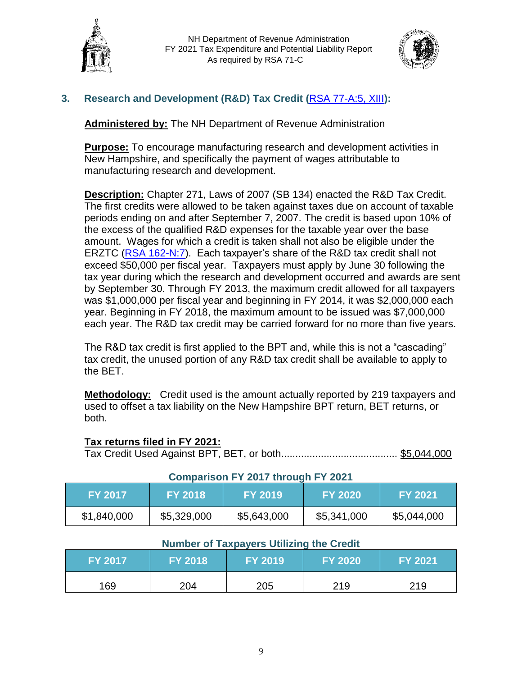



# **3. Research and Development (R&D) Tax Credit (**[RSA 77-A:5, XIII](http://www.gencourt.state.nh.us/rsa/html/V/77-A/77-A-5.htm)**):**

**Administered by:** The NH Department of Revenue Administration

**Purpose:** To encourage manufacturing research and development activities in New Hampshire, and specifically the payment of wages attributable to manufacturing research and development.

**Description:** Chapter 271, Laws of 2007 (SB 134) enacted the R&D Tax Credit. The first credits were allowed to be taken against taxes due on account of taxable periods ending on and after September 7, 2007. The credit is based upon 10% of the excess of the qualified R&D expenses for the taxable year over the base amount. Wages for which a credit is taken shall not also be eligible under the ERZTC [\(RSA 162-N:7\)](http://www.gencourt.state.nh.us/rsa/html/xii/162-n/162-n-7.htm). Each taxpayer's share of the R&D tax credit shall not exceed \$50,000 per fiscal year. Taxpayers must apply by June 30 following the tax year during which the research and development occurred and awards are sent by September 30. Through FY 2013, the maximum credit allowed for all taxpayers was \$1,000,000 per fiscal year and beginning in FY 2014, it was \$2,000,000 each year. Beginning in FY 2018, the maximum amount to be issued was \$7,000,000 each year. The R&D tax credit may be carried forward for no more than five years.

The R&D tax credit is first applied to the BPT and, while this is not a "cascading" tax credit, the unused portion of any R&D tax credit shall be available to apply to the BET.

**Methodology:** Credit used is the amount actually reported by 219 taxpayers and used to offset a tax liability on the New Hampshire BPT return, BET returns, or both.

# **Tax returns filed in FY 2021:**

Tax Credit Used Against BPT, BET, or both......................................... \$5,044,000

| <b>Comparison FY 2017 through FY 2021</b>                                              |             |             |             |             |  |
|----------------------------------------------------------------------------------------|-------------|-------------|-------------|-------------|--|
| <b>FY 2018</b><br><b>FY 2020</b><br><b>FY 2021</b><br><b>FY 2017</b><br><b>FY 2019</b> |             |             |             |             |  |
| \$1,840,000                                                                            | \$5,329,000 | \$5,643,000 | \$5,341,000 | \$5,044,000 |  |

| <b>Number of Taxpayers Utilizing the Great</b><br><b>FY 2018</b><br><b>FY 2017</b><br><b>FY 2020</b><br><b>FY 2021</b><br><b>FY 2019</b> |     |     |     |     |  |
|------------------------------------------------------------------------------------------------------------------------------------------|-----|-----|-----|-----|--|
| 169                                                                                                                                      | 204 | 205 | 219 | 219 |  |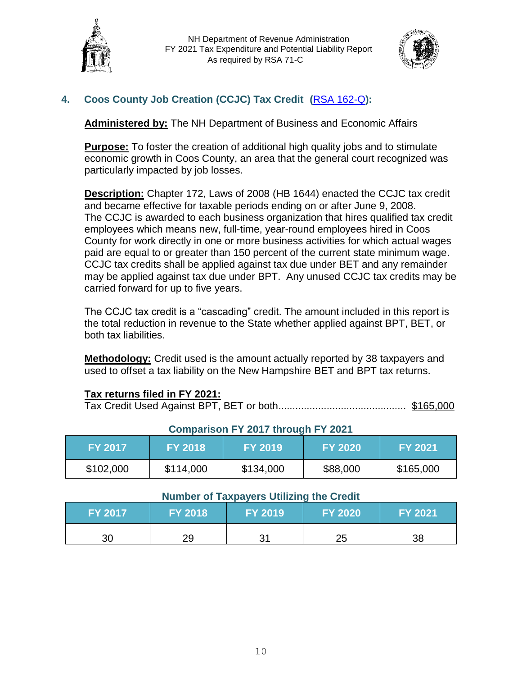



# **4. Coos County Job Creation (CCJC) Tax Credit (**[RSA 162-Q](http://www.gencourt.state.nh.us/rsa/html/xii/162-q/162-q-mrg.htm)**):**

**Administered by:** The NH Department of Business and Economic Affairs

**Purpose:** To foster the creation of additional high quality jobs and to stimulate economic growth in Coos County, an area that the general court recognized was particularly impacted by job losses.

**Description:** Chapter 172, Laws of 2008 (HB 1644) enacted the CCJC tax credit and became effective for taxable periods ending on or after June 9, 2008. The CCJC is awarded to each business organization that hires qualified tax credit employees which means new, full-time, year-round employees hired in Coos County for work directly in one or more business activities for which actual wages paid are equal to or greater than 150 percent of the current state minimum wage. CCJC tax credits shall be applied against tax due under BET and any remainder may be applied against tax due under BPT. Any unused CCJC tax credits may be carried forward for up to five years.

The CCJC tax credit is a "cascading" credit. The amount included in this report is the total reduction in revenue to the State whether applied against BPT, BET, or both tax liabilities.

**Methodology:** Credit used is the amount actually reported by 38 taxpayers and used to offset a tax liability on the New Hampshire BET and BPT tax returns.

# **Tax returns filed in FY 2021:**

Tax Credit Used Against BPT, BET or both............................................. \$165,000

| <u> Junpanojn : "Jur and Japan : "Jur</u> |                |                |                |                |  |  |
|-------------------------------------------|----------------|----------------|----------------|----------------|--|--|
| <b>FY 2017</b>                            | <b>FY 2018</b> | <b>FY 2019</b> | <b>FY 2020</b> | <b>FY 2021</b> |  |  |
| \$102,000                                 | \$114,000      | \$134,000      | \$88,000       | \$165,000      |  |  |

# **Comparison FY 2017 through FY 2021**

| <b>FY 2017</b> | <b>FY 2018</b> | $\mathsf{FY}\,2019^\mathsf{T}$ | FY 2020  | <b>FY 2021</b> |
|----------------|----------------|--------------------------------|----------|----------------|
| 30             | 2Ο             | つっ<br>ີ                        | つに<br>∠J | 38             |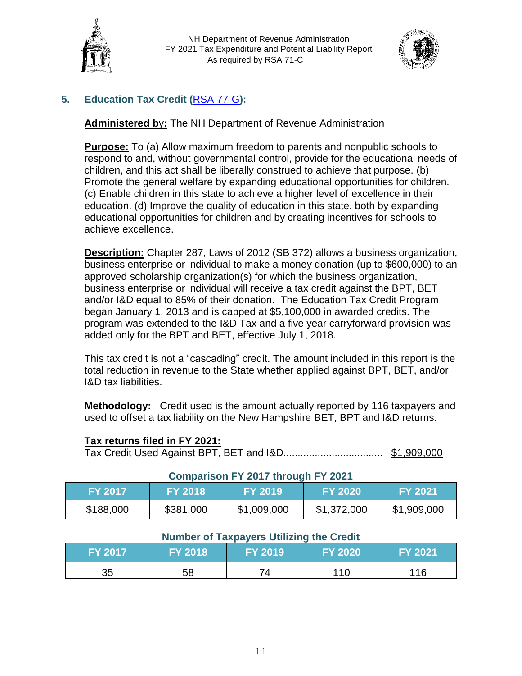



# **5. Education Tax Credit (**[RSA 77-G](http://www.gencourt.state.nh.us/rsa/html/NHTOC/NHTOC-V-77-G.htm)**):**

**Administered b**y**:** The NH Department of Revenue Administration

**Purpose:** To (a) Allow maximum freedom to parents and nonpublic schools to respond to and, without governmental control, provide for the educational needs of children, and this act shall be liberally construed to achieve that purpose. (b) Promote the general welfare by expanding educational opportunities for children. (c) Enable children in this state to achieve a higher level of excellence in their education. (d) Improve the quality of education in this state, both by expanding educational opportunities for children and by creating incentives for schools to achieve excellence.

**Description:** Chapter 287, Laws of 2012 (SB 372) allows a business organization, business enterprise or individual to make a money donation (up to \$600,000) to an approved scholarship organization(s) for which the business organization, business enterprise or individual will receive a tax credit against the BPT, BET and/or I&D equal to 85% of their donation. The Education Tax Credit Program began January 1, 2013 and is capped at \$5,100,000 in awarded credits. The program was extended to the I&D Tax and a five year carryforward provision was added only for the BPT and BET, effective July 1, 2018.

This tax credit is not a "cascading" credit. The amount included in this report is the total reduction in revenue to the State whether applied against BPT, BET, and/or I&D tax liabilities.

**Methodology:** Credit used is the amount actually reported by 116 taxpayers and used to offset a tax liability on the New Hampshire BET, BPT and I&D returns.

# **Tax returns filed in FY 2021:**

Tax Credit Used Against BPT, BET and I&D................................... \$1,909,000

| <b>Comparison FY 2017 through FY 2021</b>                                              |           |             |             |             |  |  |
|----------------------------------------------------------------------------------------|-----------|-------------|-------------|-------------|--|--|
| <b>FY 2018</b><br><b>FY 2021</b><br><b>FY 2017</b><br><b>FY 2019</b><br><b>FY 2020</b> |           |             |             |             |  |  |
| \$188,000                                                                              | \$381,000 | \$1,009,000 | \$1,372,000 | \$1,909,000 |  |  |

| <b>Number of Taxpayers Utilizing the Credit</b> |                |                |          |          |  |  |
|-------------------------------------------------|----------------|----------------|----------|----------|--|--|
| <b>FY 2017</b>                                  | <b>FY 2018</b> | <b>FY 2019</b> | FY 2020\ | FY 2021' |  |  |
| 35                                              | 58             | 74             | 110      | 116      |  |  |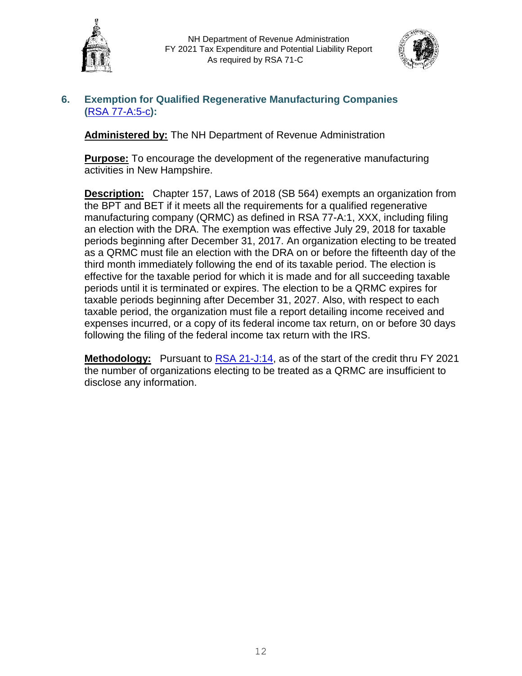



# **6. Exemption for Qualified Regenerative Manufacturing Companies (**[RSA 77-A:5-c](http://www.gencourt.state.nh.us/rsa/html/V/77-A/77-A-5-c.htm)**):**

**Administered by:** The NH Department of Revenue Administration

**Purpose:** To encourage the development of the regenerative manufacturing activities in New Hampshire.

**Description:** Chapter 157, Laws of 2018 (SB 564) exempts an organization from the BPT and BET if it meets all the requirements for a qualified regenerative manufacturing company (QRMC) as defined in RSA 77-A:1, XXX, including filing an election with the DRA. The exemption was effective July 29, 2018 for taxable periods beginning after December 31, 2017. An organization electing to be treated as a QRMC must file an election with the DRA on or before the fifteenth day of the third month immediately following the end of its taxable period. The election is effective for the taxable period for which it is made and for all succeeding taxable periods until it is terminated or expires. The election to be a QRMC expires for taxable periods beginning after December 31, 2027. Also, with respect to each taxable period, the organization must file a report detailing income received and expenses incurred, or a copy of its federal income tax return, on or before 30 days following the filing of the federal income tax return with the IRS.

**Methodology:** Pursuant to [RSA 21-J:14,](http://www.gencourt.state.nh.us/rsa/html/I/21-J/21-J-14.htm) as of the start of the credit thru FY 2021 the number of organizations electing to be treated as a QRMC are insufficient to disclose any information.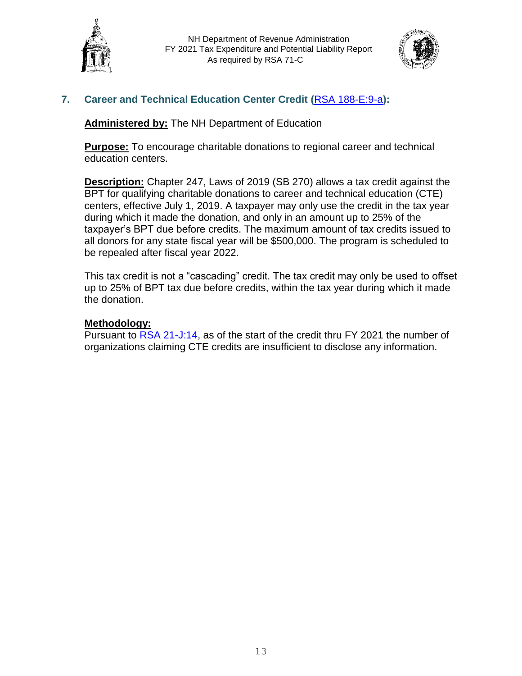



# **7. Career and Technical Education Center Credit (**[RSA 188-E:9-a](http://www.gencourt.state.nh.us/rsa/html/XV/188-E/188-E-9-a.htm)**):**

**Administered by:** The NH Department of Education

**Purpose:** To encourage charitable donations to regional career and technical education centers.

**Description:** Chapter 247, Laws of 2019 (SB 270) allows a tax credit against the BPT for qualifying charitable donations to career and technical education (CTE) centers, effective July 1, 2019. A taxpayer may only use the credit in the tax year during which it made the donation, and only in an amount up to 25% of the taxpayer's BPT due before credits. The maximum amount of tax credits issued to all donors for any state fiscal year will be \$500,000. The program is scheduled to be repealed after fiscal year 2022.

This tax credit is not a "cascading" credit. The tax credit may only be used to offset up to 25% of BPT tax due before credits, within the tax year during which it made the donation.

# **Methodology:**

Pursuant to [RSA 21-J:14,](http://www.gencourt.state.nh.us/rsa/html/I/21-J/21-J-14.htm) as of the start of the credit thru FY 2021 the number of organizations claiming CTE credits are insufficient to disclose any information.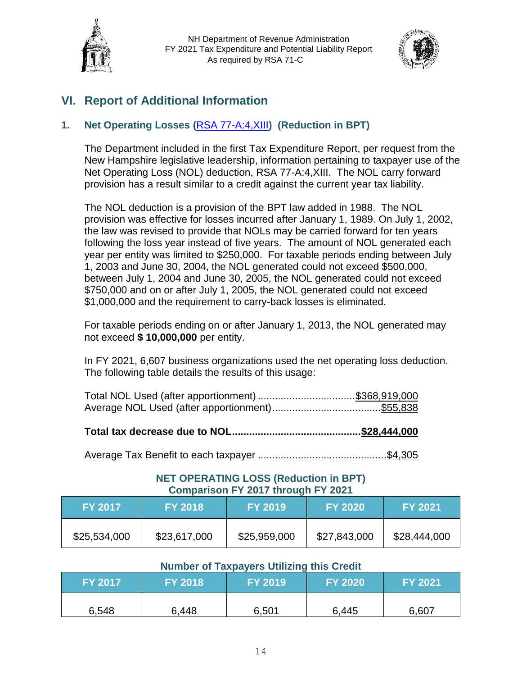



# **VI. Report of Additional Information**

# **1. Net Operating Losses (**[RSA 77-A:4,XIII](http://www.gencourt.state.nh.us/rsa/html/V/77-A/77-A-4.htm)**) (Reduction in BPT)**

The Department included in the first Tax Expenditure Report, per request from the New Hampshire legislative leadership, information pertaining to taxpayer use of the Net Operating Loss (NOL) deduction, RSA 77-A:4,XIII. The NOL carry forward provision has a result similar to a credit against the current year tax liability.

The NOL deduction is a provision of the BPT law added in 1988. The NOL provision was effective for losses incurred after January 1, 1989. On July 1, 2002, the law was revised to provide that NOLs may be carried forward for ten years following the loss year instead of five years. The amount of NOL generated each year per entity was limited to \$250,000. For taxable periods ending between July 1, 2003 and June 30, 2004, the NOL generated could not exceed \$500,000, between July 1, 2004 and June 30, 2005, the NOL generated could not exceed \$750,000 and on or after July 1, 2005, the NOL generated could not exceed \$1,000,000 and the requirement to carry-back losses is eliminated.

For taxable periods ending on or after January 1, 2013, the NOL generated may not exceed **\$ 10,000,000** per entity.

In FY 2021, 6,607 business organizations used the net operating loss deduction. The following table details the results of this usage:

**Total tax decrease due to NOL.............................................\$28,444,000**

Average Tax Benefit to each taxpayer .............................................\$4,305

# **NET OPERATING LOSS (Reduction in BPT) Comparison FY 2017 through FY 2021**

| <b>FY 2017</b> | <b>FY 2018</b> | <b>FY 2019</b> | <b>FY 2020</b> | <b>FY 2021</b> |
|----------------|----------------|----------------|----------------|----------------|
| \$25,534,000   | \$23,617,000   | \$25,959,000   | \$27,843,000   | \$28,444,000   |

| <b>FY 2017</b> | <b>FY 2018</b> | <b>FY 2019</b> | <b>FY 2020</b> | <b>FY 2021</b> |
|----------------|----------------|----------------|----------------|----------------|
| 6,548          | 6,448          | 6,501          | 6,445          | 6,607          |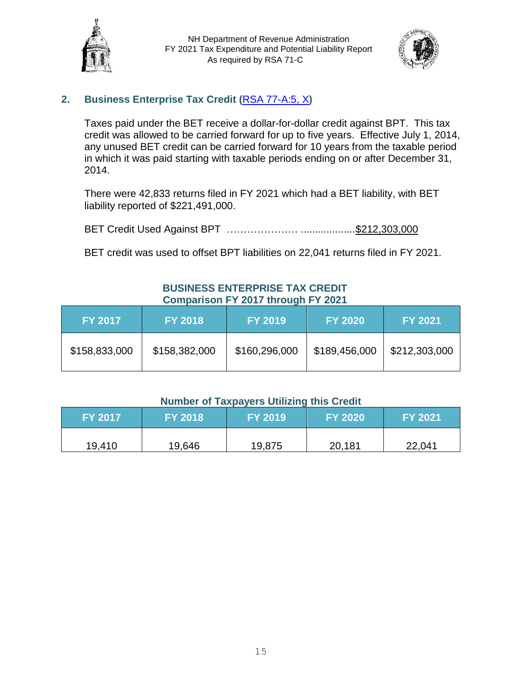



# **2. Business Enterprise Tax Credit (**[RSA 77-A:5, X](http://www.gencourt.state.nh.us/rsa/html/V/77-A/77-A-5.htm)**)**

Taxes paid under the BET receive a dollar-for-dollar credit against BPT. This tax credit was allowed to be carried forward for up to five years. Effective July 1, 2014, any unused BET credit can be carried forward for 10 years from the taxable period in which it was paid starting with taxable periods ending on or after December 31, 2014.

There were 42,833 returns filed in FY 2021 which had a BET liability, with BET liability reported of \$221,491,000.

BET Credit Used Against BPT ………………… ...................\$212,303,000

BET credit was used to offset BPT liabilities on 22,041 returns filed in FY 2021.

# **BUSINESS ENTERPRISE TAX CREDIT Comparison FY 2017 through FY 2021**

| <b>FY 2017</b> | <b>FY 2018</b> | <b>FY 2019</b> | <b>FY 2020</b> | <b>FY 2021</b> |
|----------------|----------------|----------------|----------------|----------------|
| \$158,833,000  | \$158,382,000  | \$160,296,000  | \$189,456,000  | \$212,303,000  |

| <b>FY 2017</b> | <b>IFY 2018 '</b> | <b>FY 2019</b> | <b>FY 2020</b> | <b>FY 2021</b> |
|----------------|-------------------|----------------|----------------|----------------|
| 19,410         | 19,646            | 19,875         | 20,181         | 22,041         |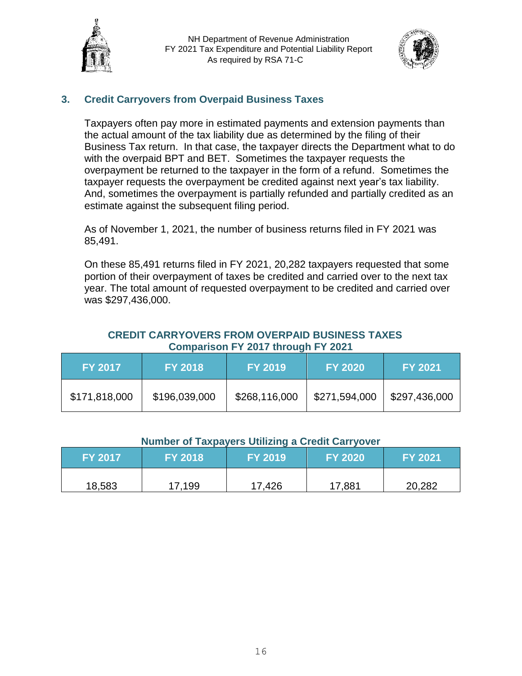



# **3. Credit Carryovers from Overpaid Business Taxes**

Taxpayers often pay more in estimated payments and extension payments than the actual amount of the tax liability due as determined by the filing of their Business Tax return. In that case, the taxpayer directs the Department what to do with the overpaid BPT and BET. Sometimes the taxpayer requests the overpayment be returned to the taxpayer in the form of a refund. Sometimes the taxpayer requests the overpayment be credited against next year's tax liability. And, sometimes the overpayment is partially refunded and partially credited as an estimate against the subsequent filing period.

As of November 1, 2021, the number of business returns filed in FY 2021 was 85,491.

On these 85,491 returns filed in FY 2021, 20,282 taxpayers requested that some portion of their overpayment of taxes be credited and carried over to the next tax year. The total amount of requested overpayment to be credited and carried over was \$297,436,000.

#### **CREDIT CARRYOVERS FROM OVERPAID BUSINESS TAXES Comparison FY 2017 through FY 2021**

| <b>FY 2017</b> | <b>FY 2018</b> | <b>FY 2019</b> | <b>FY 2020</b> | <b>FY 2021</b> |
|----------------|----------------|----------------|----------------|----------------|
| \$171,818,000  | \$196,039,000  | \$268,116,000  | \$271,594,000  | \$297,436,000  |

#### **Number of Taxpayers Utilizing a Credit Carryover**

| <b>FY 2017</b> | <b>FY 2018</b> | <b>FY 2019</b> | <b>FY 2020</b> | <b>FY 2021</b> |
|----------------|----------------|----------------|----------------|----------------|
| 18,583         | 17,199         | 17,426         | 17,881         | 20,282         |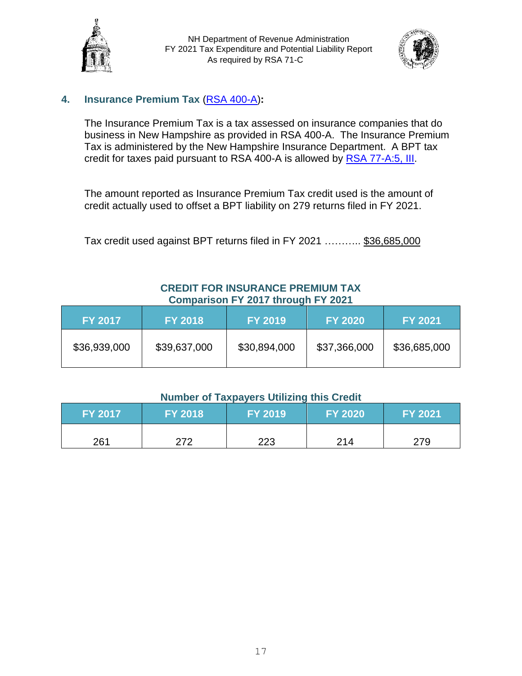



# **4. Insurance Premium Tax** [\(RSA 400-A\)](http://www.gencourt.state.nh.us/rsa/html/xxxvii/400-a/400-a-mrg.htm)**:**

The Insurance Premium Tax is a tax assessed on insurance companies that do business in New Hampshire as provided in RSA 400-A. The Insurance Premium Tax is administered by the New Hampshire Insurance Department. A BPT tax credit for taxes paid pursuant to RSA 400-A is allowed by [RSA 77-A:5, III.](http://www.gencourt.state.nh.us/rsa/html/V/77-A/77-A-5.htm)

The amount reported as Insurance Premium Tax credit used is the amount of credit actually used to offset a BPT liability on 279 returns filed in FY 2021.

Tax credit used against BPT returns filed in FY 2021 ……….. \$36,685,000

# **CREDIT FOR INSURANCE PREMIUM TAX Comparison FY 2017 through FY 2021**

| <b>FY 2017</b> | <b>FY 2018</b> | <b>FY 2019</b> | <b>FY 2020</b> | <b>FY 2021</b> |
|----------------|----------------|----------------|----------------|----------------|
| \$36,939,000   | \$39,637,000   | \$30,894,000   | \$37,366,000   | \$36,685,000   |

| <b>FY 2017</b> | <b>FY 2018</b> | <b>FY 2019</b> | <b>FY 2020</b> | FY 2021 |
|----------------|----------------|----------------|----------------|---------|
| 261            | 272            | 223            | 214            | 279     |